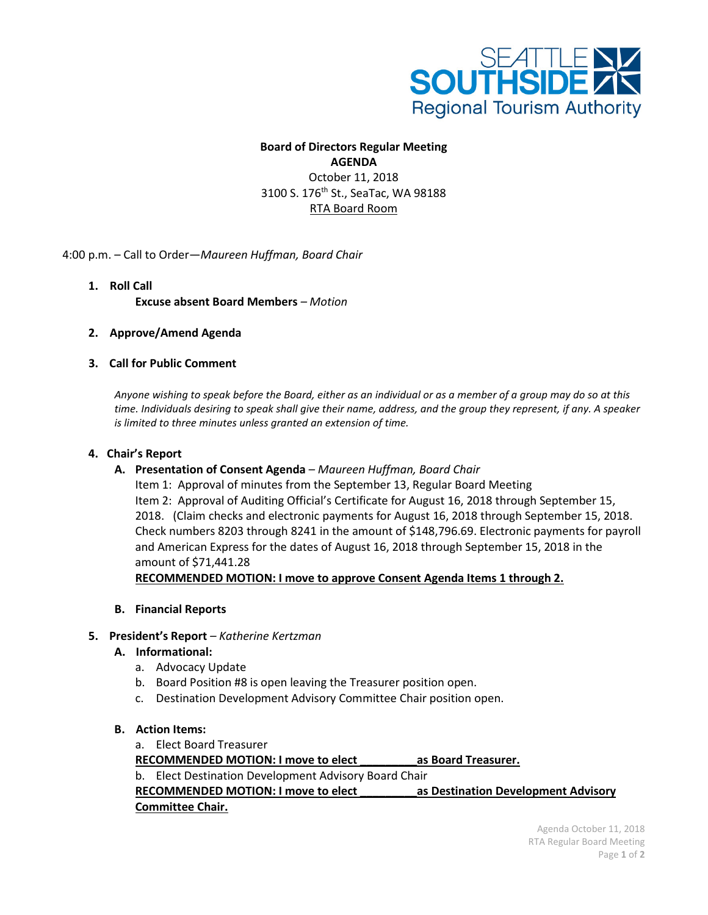

# **Board of Directors Regular Meeting AGENDA** October 11, 2018 3100 S. 176<sup>th</sup> St., SeaTac, WA 98188

RTA Board Room

4:00 p.m. – Call to Order—*Maureen Huffman, Board Chair*

- **1. Roll Call Excuse absent Board Members** *– Motion*
- **2. Approve/Amend Agenda**

### **3. Call for Public Comment**

*Anyone wishing to speak before the Board, either as an individual or as a member of a group may do so at this time. Individuals desiring to speak shall give their name, address, and the group they represent, if any. A speaker is limited to three minutes unless granted an extension of time.*

#### **4. Chair's Report**

**A. Presentation of Consent Agenda** *– Maureen Huffman, Board Chair*

Item 1: Approval of minutes from the September 13, Regular Board Meeting Item 2: Approval of Auditing Official's Certificate for August 16, 2018 through September 15, 2018. (Claim checks and electronic payments for August 16, 2018 through September 15, 2018. Check numbers 8203 through 8241 in the amount of \$148,796.69. Electronic payments for payroll and American Express for the dates of August 16, 2018 through September 15, 2018 in the amount of \$71,441.28

**RECOMMENDED MOTION: I move to approve Consent Agenda Items 1 through 2.**

**B. Financial Reports**

### **5. President's Report** *– Katherine Kertzman*

#### **A. Informational:**

- a. Advocacy Update
- b. Board Position #8 is open leaving the Treasurer position open.
- c. Destination Development Advisory Committee Chair position open.
- **B. Action Items:**

a. Elect Board Treasurer

**RECOMMENDED MOTION: I move to elect \_\_\_\_\_\_\_\_\_as Board Treasurer.**

b. Elect Destination Development Advisory Board Chair

**RECOMMENDED MOTION: I move to elect \_\_\_\_\_\_\_\_\_as Destination Development Advisory Committee Chair.**